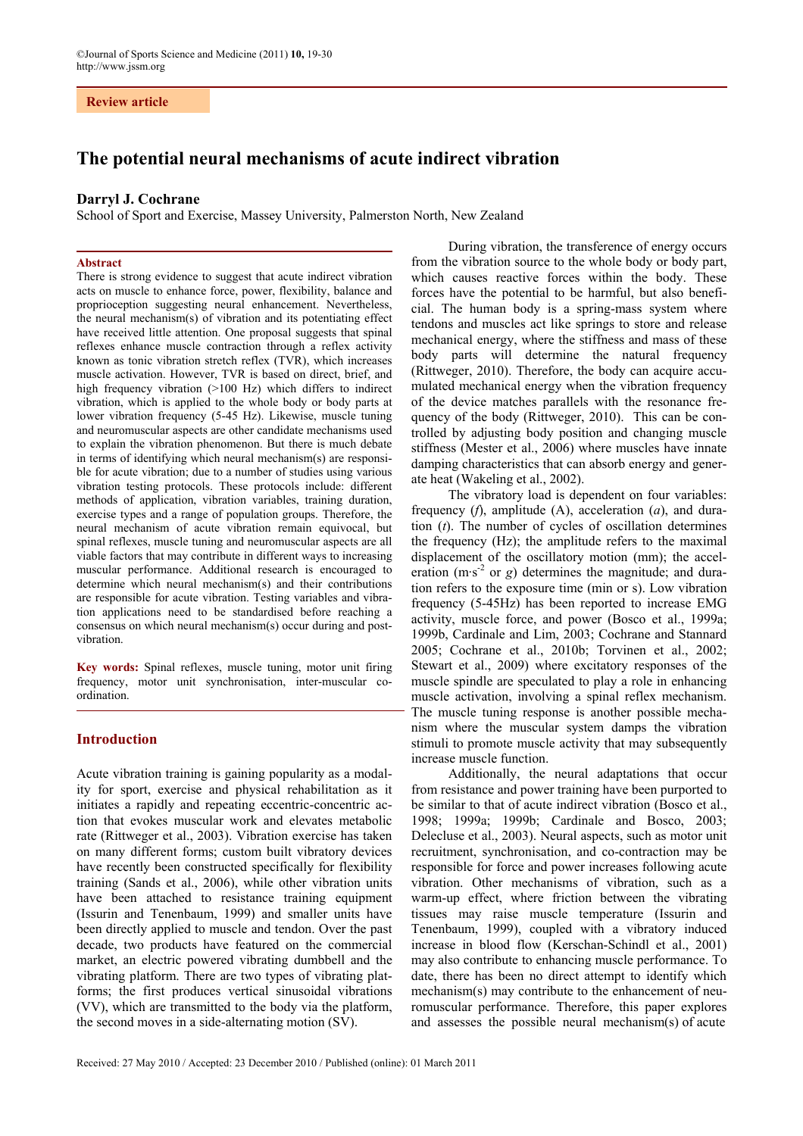# **Review article**

# **The potential neural mechanisms of acute indirect vibration**

### **Darryl J. Cochrane**

School of Sport and Exercise, Massey University, Palmerston North, New Zealand

### **Abstract**

There is strong evidence to suggest that acute indirect vibration acts on muscle to enhance force, power, flexibility, balance and proprioception suggesting neural enhancement. Nevertheless, the neural mechanism(s) of vibration and its potentiating effect have received little attention. One proposal suggests that spinal reflexes enhance muscle contraction through a reflex activity known as tonic vibration stretch reflex (TVR), which increases muscle activation. However, TVR is based on direct, brief, and high frequency vibration (>100 Hz) which differs to indirect vibration, which is applied to the whole body or body parts at lower vibration frequency (5-45 Hz). Likewise, muscle tuning and neuromuscular aspects are other candidate mechanisms used to explain the vibration phenomenon. But there is much debate in terms of identifying which neural mechanism(s) are responsible for acute vibration; due to a number of studies using various vibration testing protocols. These protocols include: different methods of application, vibration variables, training duration, exercise types and a range of population groups. Therefore, the neural mechanism of acute vibration remain equivocal, but spinal reflexes, muscle tuning and neuromuscular aspects are all viable factors that may contribute in different ways to increasing muscular performance. Additional research is encouraged to determine which neural mechanism(s) and their contributions are responsible for acute vibration. Testing variables and vibration applications need to be standardised before reaching a consensus on which neural mechanism(s) occur during and postvibration.

**Key words:** Spinal reflexes, muscle tuning, motor unit firing frequency, motor unit synchronisation, inter-muscular coordination.

# **Introduction**

Acute vibration training is gaining popularity as a modality for sport, exercise and physical rehabilitation as it initiates a rapidly and repeating eccentric-concentric action that evokes muscular work and elevates metabolic rate (Rittweger et al., 2003). Vibration exercise has taken on many different forms; custom built vibratory devices have recently been constructed specifically for flexibility training (Sands et al., 2006), while other vibration units have been attached to resistance training equipment (Issurin and Tenenbaum, 1999) and smaller units have been directly applied to muscle and tendon. Over the past decade, two products have featured on the commercial market, an electric powered vibrating dumbbell and the vibrating platform. There are two types of vibrating platforms; the first produces vertical sinusoidal vibrations (VV), which are transmitted to the body via the platform, the second moves in a side-alternating motion (SV).

During vibration, the transference of energy occurs from the vibration source to the whole body or body part, which causes reactive forces within the body. These forces have the potential to be harmful, but also beneficial. The human body is a spring-mass system where tendons and muscles act like springs to store and release mechanical energy, where the stiffness and mass of these body parts will determine the natural frequency (Rittweger, 2010). Therefore, the body can acquire accumulated mechanical energy when the vibration frequency of the device matches parallels with the resonance frequency of the body (Rittweger, 2010). This can be controlled by adjusting body position and changing muscle stiffness (Mester et al., 2006) where muscles have innate damping characteristics that can absorb energy and generate heat (Wakeling et al., 2002).

The vibratory load is dependent on four variables: frequency (*f*), amplitude (A), acceleration (*a*), and duration (*t*). The number of cycles of oscillation determines the frequency (Hz); the amplitude refers to the maximal displacement of the oscillatory motion (mm); the acceleration  $(m \cdot s^2 \text{ or } g)$  determines the magnitude; and duration refers to the exposure time (min or s). Low vibration frequency (5-45Hz) has been reported to increase EMG activity, muscle force, and power (Bosco et al., 1999a; 1999b, Cardinale and Lim, 2003; Cochrane and Stannard 2005; Cochrane et al., 2010b; Torvinen et al., 2002; Stewart et al., 2009) where excitatory responses of the muscle spindle are speculated to play a role in enhancing muscle activation, involving a spinal reflex mechanism. The muscle tuning response is another possible mechanism where the muscular system damps the vibration stimuli to promote muscle activity that may subsequently increase muscle function.

Additionally, the neural adaptations that occur from resistance and power training have been purported to be similar to that of acute indirect vibration (Bosco et al., 1998; 1999a; 1999b; Cardinale and Bosco, 2003; Delecluse et al., 2003). Neural aspects, such as motor unit recruitment, synchronisation, and co-contraction may be responsible for force and power increases following acute vibration. Other mechanisms of vibration, such as a warm-up effect, where friction between the vibrating tissues may raise muscle temperature (Issurin and Tenenbaum, 1999), coupled with a vibratory induced increase in blood flow (Kerschan-Schindl et al., 2001) may also contribute to enhancing muscle performance. To date, there has been no direct attempt to identify which mechanism(s) may contribute to the enhancement of neuromuscular performance. Therefore, this paper explores and assesses the possible neural mechanism(s) of acute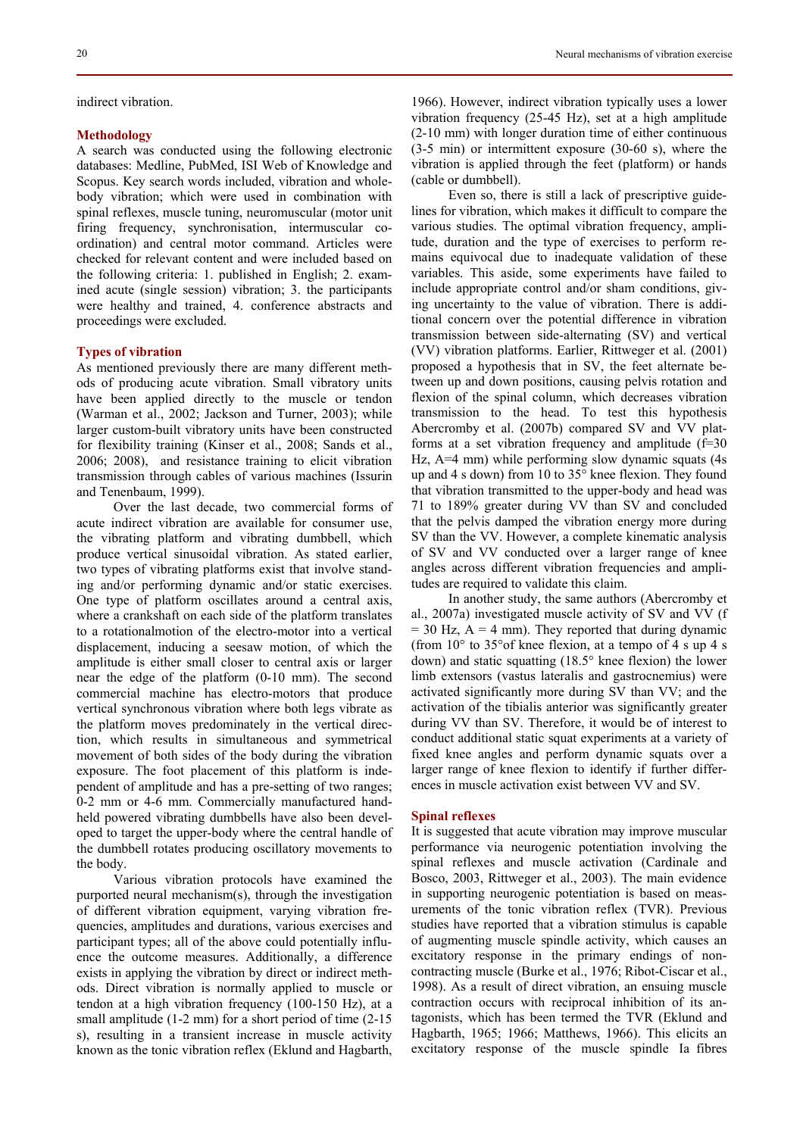indirect vibration.

### **Methodology**

A search was conducted using the following electronic databases: Medline, PubMed, ISI Web of Knowledge and Scopus. Key search words included, vibration and wholebody vibration; which were used in combination with spinal reflexes, muscle tuning, neuromuscular (motor unit firing frequency, synchronisation, intermuscular coordination) and central motor command. Articles were checked for relevant content and were included based on the following criteria: 1. published in English; 2. examined acute (single session) vibration; 3. the participants were healthy and trained, 4. conference abstracts and proceedings were excluded.

# **Types of vibration**

As mentioned previously there are many different methods of producing acute vibration. Small vibratory units have been applied directly to the muscle or tendon (Warman et al., 2002; Jackson and Turner, 2003); while larger custom-built vibratory units have been constructed for flexibility training (Kinser et al., 2008; Sands et al., 2006; 2008), and resistance training to elicit vibration transmission through cables of various machines (Issurin and Tenenbaum, 1999).

Over the last decade, two commercial forms of acute indirect vibration are available for consumer use, the vibrating platform and vibrating dumbbell, which produce vertical sinusoidal vibration. As stated earlier, two types of vibrating platforms exist that involve standing and/or performing dynamic and/or static exercises. One type of platform oscillates around a central axis, where a crankshaft on each side of the platform translates to a rotationalmotion of the electro-motor into a vertical displacement, inducing a seesaw motion, of which the amplitude is either small closer to central axis or larger near the edge of the platform (0-10 mm). The second commercial machine has electro-motors that produce vertical synchronous vibration where both legs vibrate as the platform moves predominately in the vertical direction, which results in simultaneous and symmetrical movement of both sides of the body during the vibration exposure. The foot placement of this platform is independent of amplitude and has a pre-setting of two ranges; 0-2 mm or 4-6 mm. Commercially manufactured handheld powered vibrating dumbbells have also been developed to target the upper-body where the central handle of the dumbbell rotates producing oscillatory movements to the body.

Various vibration protocols have examined the purported neural mechanism(s), through the investigation of different vibration equipment, varying vibration frequencies, amplitudes and durations, various exercises and participant types; all of the above could potentially influence the outcome measures. Additionally, a difference exists in applying the vibration by direct or indirect methods. Direct vibration is normally applied to muscle or tendon at a high vibration frequency (100-150 Hz), at a small amplitude (1-2 mm) for a short period of time (2-15 s), resulting in a transient increase in muscle activity known as the tonic vibration reflex (Eklund and Hagbarth,

1966). However, indirect vibration typically uses a lower vibration frequency (25-45 Hz), set at a high amplitude (2-10 mm) with longer duration time of either continuous (3-5 min) or intermittent exposure (30-60 s), where the vibration is applied through the feet (platform) or hands (cable or dumbbell).

Even so, there is still a lack of prescriptive guidelines for vibration, which makes it difficult to compare the various studies. The optimal vibration frequency, amplitude, duration and the type of exercises to perform remains equivocal due to inadequate validation of these variables. This aside, some experiments have failed to include appropriate control and/or sham conditions, giving uncertainty to the value of vibration. There is additional concern over the potential difference in vibration transmission between side-alternating (SV) and vertical (VV) vibration platforms. Earlier, Rittweger et al. (2001) proposed a hypothesis that in SV, the feet alternate between up and down positions, causing pelvis rotation and flexion of the spinal column, which decreases vibration transmission to the head. To test this hypothesis Abercromby et al. (2007b) compared SV and VV platforms at a set vibration frequency and amplitude  $(f=30)$ Hz, A=4 mm) while performing slow dynamic squats (4s up and 4 s down) from 10 to 35° knee flexion. They found that vibration transmitted to the upper-body and head was 71 to 189% greater during VV than SV and concluded that the pelvis damped the vibration energy more during SV than the VV. However, a complete kinematic analysis of SV and VV conducted over a larger range of knee angles across different vibration frequencies and amplitudes are required to validate this claim.

In another study, the same authors (Abercromby et al., 2007a) investigated muscle activity of SV and VV (f  $= 30$  Hz,  $A = 4$  mm). They reported that during dynamic (from 10° to 35°of knee flexion, at a tempo of 4 s up 4 s down) and static squatting (18.5° knee flexion) the lower limb extensors (vastus lateralis and gastrocnemius) were activated significantly more during SV than VV; and the activation of the tibialis anterior was significantly greater during VV than SV. Therefore, it would be of interest to conduct additional static squat experiments at a variety of fixed knee angles and perform dynamic squats over a larger range of knee flexion to identify if further differences in muscle activation exist between VV and SV.

### **Spinal reflexes**

It is suggested that acute vibration may improve muscular performance via neurogenic potentiation involving the spinal reflexes and muscle activation (Cardinale and Bosco, 2003, Rittweger et al., 2003). The main evidence in supporting neurogenic potentiation is based on measurements of the tonic vibration reflex (TVR). Previous studies have reported that a vibration stimulus is capable of augmenting muscle spindle activity, which causes an excitatory response in the primary endings of noncontracting muscle (Burke et al., 1976; Ribot-Ciscar et al., 1998). As a result of direct vibration, an ensuing muscle contraction occurs with reciprocal inhibition of its antagonists, which has been termed the TVR (Eklund and Hagbarth, 1965; 1966; Matthews, 1966). This elicits an excitatory response of the muscle spindle Ia fibres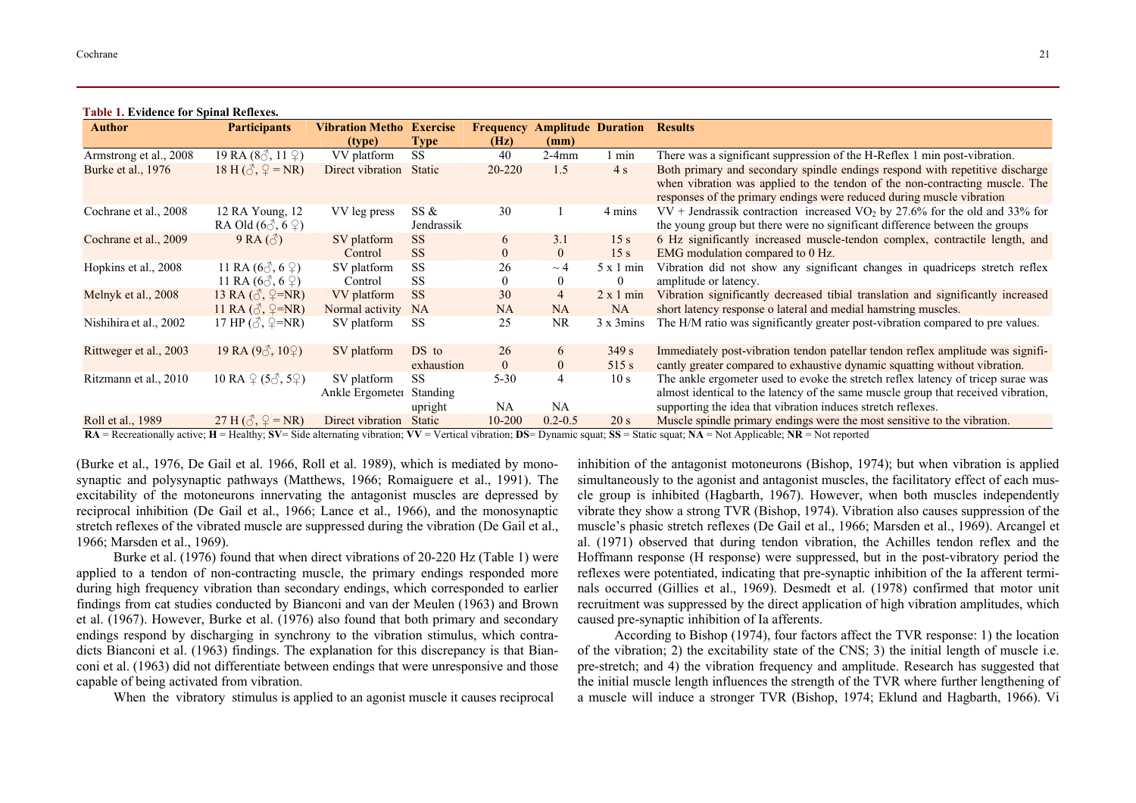**Table 1. Evidence for Spinal Reflexes.** 

| <b>Author</b>          | <b>Participants</b>                                | <b>Vibration Metho Exercise</b> |                              | <b>Frequency</b> |                | <b>Amplitude Duration</b>              | <b>Results</b>                                                                                                                                                                                                                                                |
|------------------------|----------------------------------------------------|---------------------------------|------------------------------|------------------|----------------|----------------------------------------|---------------------------------------------------------------------------------------------------------------------------------------------------------------------------------------------------------------------------------------------------------------|
|                        |                                                    | (type)                          | <b>Type</b>                  | (Hz)             | (mm)           |                                        |                                                                                                                                                                                                                                                               |
| Armstrong et al., 2008 | 19 RA $(8\text{A}, 11\text{C})$                    | VV platform                     | <b>SS</b>                    | 40               | $2-4mm$        | min                                    | There was a significant suppression of the H-Reflex 1 min post-vibration.                                                                                                                                                                                     |
| Burke et al., 1976     | 18 H $(\delta, \mathcal{Q} = NR)$                  | Direct vibration                | Static                       | 20-220           | 1.5            | 4s                                     | Both primary and secondary spindle endings respond with repetitive discharge<br>when vibration was applied to the tendon of the non-contracting muscle. The<br>responses of the primary endings were reduced during muscle vibration                          |
| Cochrane et al., 2008  | 12 RA Young, 12<br>RA Old $(6\text{A}, 6\text{C})$ | VV leg press                    | SS &<br>Jendrassik           | 30               |                | 4 mins                                 | $VV$ + Jendrassik contraction increased $VO2$ by 27.6% for the old and 33% for<br>the young group but there were no significant difference between the groups                                                                                                 |
| Cochrane et al., 2009  | $9RA(\textcircled{3})$                             | SV platform                     | <b>SS</b>                    | 6                | 3.1            | 15 <sub>s</sub>                        | 6 Hz significantly increased muscle-tendon complex, contractile length, and                                                                                                                                                                                   |
|                        |                                                    | Control                         | <b>SS</b>                    | $\Omega$         | $\overline{0}$ | 15 <sub>s</sub>                        | EMG modulation compared to 0 Hz.                                                                                                                                                                                                                              |
| Hopkins et al., 2008   | 11 RA $(6\text{C}, 6\text{C})$                     | SV platform                     | <b>SS</b>                    | 26               | $\sim$ 4       | $5 \times 1$ min                       | Vibration did not show any significant changes in quadriceps stretch reflex                                                                                                                                                                                   |
|                        | 11 RA $(6\text{A}, 6\text{C})$                     | Control                         | <b>SS</b>                    | $\theta$         | $\theta$       | $\mathbf{0}$                           | amplitude or latency.                                                                                                                                                                                                                                         |
| Melnyk et al., 2008    | 13 RA $(\delta, \mathcal{Q} = NR)$                 | VV platform                     | <b>SS</b>                    | 30               | 4              | $2 \times 1$ min                       | Vibration significantly decreased tibial translation and significantly increased                                                                                                                                                                              |
|                        | 11 RA $(\delta, \mathcal{Q} = NR)$                 | Normal activity                 | <b>NA</b>                    | <b>NA</b>        | NA             | NA                                     | short latency response o lateral and medial hamstring muscles.                                                                                                                                                                                                |
| Nishihira et al., 2002 | 17 HP $(\mathcal{S}, \mathcal{Q} = NR)$            | SV platform                     | SS                           | 25               | NR.            | $3 \times 3 \text{mins}$               | The H/M ratio was significantly greater post-vibration compared to pre values.                                                                                                                                                                                |
| Rittweger et al., 2003 | 19 RA $(9\textcircled{3}, 10\textcircled{2})$      | SV platform                     | DS to                        | 26               | 6              | 349 s                                  | Immediately post-vibration tendon patellar tendon reflex amplitude was signifi-                                                                                                                                                                               |
|                        |                                                    |                                 | exhaustion                   | $\theta$         | 0              | 515 s                                  | cantly greater compared to exhaustive dynamic squatting without vibration.                                                                                                                                                                                    |
| Ritzmann et al., 2010  | 10 RA $\varphi$ (5 $\varphi$ , 5 $\varphi$ )       | SV platform<br>Ankle Ergometer  | <b>SS</b><br><b>Standing</b> | $5 - 30$         | 4              | 10 <sub>s</sub>                        | The ankle ergometer used to evoke the stretch reflex latency of tricep surae was<br>almost identical to the latency of the same muscle group that received vibration,                                                                                         |
|                        |                                                    |                                 | upright                      | NA               | <b>NA</b>      |                                        | supporting the idea that vibration induces stretch reflexes.                                                                                                                                                                                                  |
| Roll et al., 1989      | 27 H $(\delta, \mathcal{Q} = NR)$                  | Direct vibration                | <b>Static</b>                | 10-200           | $0.2 - 0.5$    | 20 s<br>$\alpha \alpha$ $\alpha \beta$ | Muscle spindle primary endings were the most sensitive to the vibration.<br>$\mathbf{v} = \mathbf{v} \cdot \mathbf{v}$ , $\mathbf{v} = \mathbf{v} \cdot \mathbf{v}$ , $\mathbf{v} = \mathbf{v} \cdot \mathbf{v}$ , $\mathbf{v} = \mathbf{v} \cdot \mathbf{v}$ |

 $RA$  = Recreationally active;  $H$  = Healthy; SV= Side alternating vibration; VV = Vertical vibration; DS= Dynamic squat; SS = Static squat; NA = Not Applicable; NR = Not reported

(Burke et al., 1976, De Gail et al. 1966, Roll et al. 1989), which is mediated by monosynaptic and polysynaptic pathways (Matthews, 1966; Romaiguere et al., 1991). The excitability of the motoneurons innervating the antagonist muscles are depressed by reciprocal inhibition (De Gail et al., 1966; Lance et al., 1966), and the monosynaptic stretch reflexes of the vibrated muscle are suppressed during the vibration (De Gail et al., 1966; Marsden et al., 1969).

Burke et al. (1976) found that when direct vibrations of 20-220 Hz (Table 1) were applied to a tendon of non-contracting muscle, the primary endings responded more during high frequency vibration than secondary endings, which corresponded to earlier findings from cat studies conducted by Bianconi and van der Meulen (1963) and Brown et al. (1967). However, Burke et al. (1976) also found that both primary and secondary endings respond by discharging in synchrony to the vibration stimulus, which contradicts Bianconi et al. (1963) findings. The explanation for this discrepancy is that Bianconi et al. (1963) did not differentiate between endings that were unresponsive and those capable of being activated from vibration.

When the vibratory stimulus is applied to an agonist muscle it causes reciprocal

inhibition of the antagonist motoneurons (Bishop, 1974); but when vibration is applied simultaneously to the agonist and antagonist muscles, the facilitatory effect of each muscle group is inhibited (Hagbarth, 1967). However, when both muscles independently vibrate they show a strong TVR (Bishop, 1974). Vibration also causes suppression of the muscle's phasic stretch reflexes (De Gail et al., 1966; Marsden et al., 1969). Arcangel et al. (1971) observed that during tendon vibration, the Achilles tendon reflex and the Hoffmann response (H response) were suppressed, but in the post-vibratory period the reflexes were potentiated, indicating that pre-synaptic inhibition of the Ia afferent terminals occurred (Gillies et al., 1969). Desmedt et al. (1978) confirmed that motor unit recruitment was suppressed by the direct application of high vibration amplitudes, which caused pre-synaptic inhibition of Ia afferents.

According to Bishop (1974), four factors affect the TVR response: 1) the location of the vibration; 2) the excitability state of the CNS; 3) the initial length of muscle i.e. pre-stretch; and 4) the vibration frequency and amplitude. Research has suggested that the initial muscle length influences the strength of the TVR where further lengthening of a muscle will induce a stronger TVR (Bishop, 1974; Eklund and Hagbarth, 1966). Vi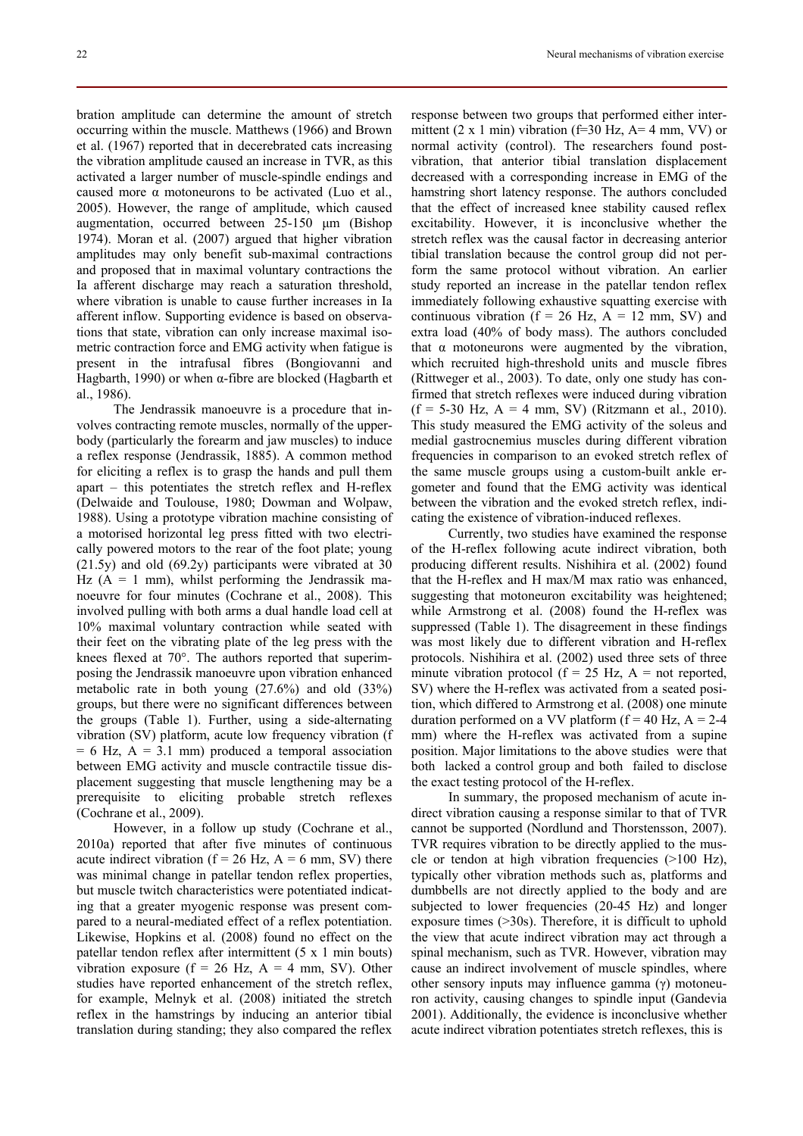bration amplitude can determine the amount of stretch occurring within the muscle. Matthews (1966) and Brown et al. (1967) reported that in decerebrated cats increasing the vibration amplitude caused an increase in TVR, as this activated a larger number of muscle-spindle endings and caused more  $\alpha$  motoneurons to be activated (Luo et al., 2005). However, the range of amplitude, which caused augmentation, occurred between 25-150 µm (Bishop 1974). Moran et al. (2007) argued that higher vibration amplitudes may only benefit sub-maximal contractions and proposed that in maximal voluntary contractions the Ia afferent discharge may reach a saturation threshold, where vibration is unable to cause further increases in Ia afferent inflow. Supporting evidence is based on observations that state, vibration can only increase maximal isometric contraction force and EMG activity when fatigue is present in the intrafusal fibres (Bongiovanni and Hagbarth, 1990) or when  $\alpha$ -fibre are blocked (Hagbarth et al., 1986).

The Jendrassik manoeuvre is a procedure that involves contracting remote muscles, normally of the upperbody (particularly the forearm and jaw muscles) to induce a reflex response (Jendrassik, 1885). A common method for eliciting a reflex is to grasp the hands and pull them apart – this potentiates the stretch reflex and H-reflex (Delwaide and Toulouse, 1980; Dowman and Wolpaw, 1988). Using a prototype vibration machine consisting of a motorised horizontal leg press fitted with two electrically powered motors to the rear of the foot plate; young (21.5y) and old (69.2y) participants were vibrated at 30 Hz  $(A = 1$  mm), whilst performing the Jendrassik manoeuvre for four minutes (Cochrane et al., 2008). This involved pulling with both arms a dual handle load cell at 10% maximal voluntary contraction while seated with their feet on the vibrating plate of the leg press with the knees flexed at 70°. The authors reported that superimposing the Jendrassik manoeuvre upon vibration enhanced metabolic rate in both young (27.6%) and old (33%) groups, but there were no significant differences between the groups (Table 1). Further, using a side-alternating vibration (SV) platform, acute low frequency vibration (f  $= 6$  Hz,  $A = 3.1$  mm) produced a temporal association between EMG activity and muscle contractile tissue displacement suggesting that muscle lengthening may be a prerequisite to eliciting probable stretch reflexes (Cochrane et al., 2009).

However, in a follow up study (Cochrane et al., 2010a) reported that after five minutes of continuous acute indirect vibration ( $f = 26$  Hz,  $A = 6$  mm, SV) there was minimal change in patellar tendon reflex properties, but muscle twitch characteristics were potentiated indicating that a greater myogenic response was present compared to a neural-mediated effect of a reflex potentiation. Likewise, Hopkins et al. (2008) found no effect on the patellar tendon reflex after intermittent (5 x 1 min bouts) vibration exposure ( $f = 26$  Hz,  $A = 4$  mm, SV). Other studies have reported enhancement of the stretch reflex, for example, Melnyk et al. (2008) initiated the stretch reflex in the hamstrings by inducing an anterior tibial translation during standing; they also compared the reflex response between two groups that performed either intermittent (2 x 1 min) vibration (f=30 Hz, A= 4 mm, VV) or normal activity (control). The researchers found postvibration, that anterior tibial translation displacement decreased with a corresponding increase in EMG of the hamstring short latency response. The authors concluded that the effect of increased knee stability caused reflex excitability. However, it is inconclusive whether the stretch reflex was the causal factor in decreasing anterior tibial translation because the control group did not perform the same protocol without vibration. An earlier study reported an increase in the patellar tendon reflex immediately following exhaustive squatting exercise with continuous vibration ( $f = 26$  Hz,  $A = 12$  mm, SV) and extra load (40% of body mass). The authors concluded that  $\alpha$  motoneurons were augmented by the vibration, which recruited high-threshold units and muscle fibres (Rittweger et al., 2003). To date, only one study has confirmed that stretch reflexes were induced during vibration  $(f = 5-30$  Hz,  $A = 4$  mm, SV) (Ritzmann et al., 2010). This study measured the EMG activity of the soleus and medial gastrocnemius muscles during different vibration frequencies in comparison to an evoked stretch reflex of the same muscle groups using a custom-built ankle ergometer and found that the EMG activity was identical between the vibration and the evoked stretch reflex, indicating the existence of vibration-induced reflexes.

Currently, two studies have examined the response of the H-reflex following acute indirect vibration, both producing different results. Nishihira et al. (2002) found that the H-reflex and H max/M max ratio was enhanced, suggesting that motoneuron excitability was heightened; while Armstrong et al. (2008) found the H-reflex was suppressed (Table 1). The disagreement in these findings was most likely due to different vibration and H-reflex protocols. Nishihira et al. (2002) used three sets of three minute vibration protocol ( $f = 25$  Hz,  $A =$  not reported, SV) where the H-reflex was activated from a seated position, which differed to Armstrong et al. (2008) one minute duration performed on a VV platform ( $f = 40$  Hz,  $A = 2-4$ mm) where the H-reflex was activated from a supine position. Major limitations to the above studies were that both lacked a control group and both failed to disclose the exact testing protocol of the H-reflex.

In summary, the proposed mechanism of acute indirect vibration causing a response similar to that of TVR cannot be supported (Nordlund and Thorstensson, 2007). TVR requires vibration to be directly applied to the muscle or tendon at high vibration frequencies (>100 Hz), typically other vibration methods such as, platforms and dumbbells are not directly applied to the body and are subjected to lower frequencies (20-45 Hz) and longer exposure times (>30s). Therefore, it is difficult to uphold the view that acute indirect vibration may act through a spinal mechanism, such as TVR. However, vibration may cause an indirect involvement of muscle spindles, where other sensory inputs may influence gamma  $(\gamma)$  motoneuron activity, causing changes to spindle input (Gandevia 2001). Additionally, the evidence is inconclusive whether acute indirect vibration potentiates stretch reflexes, this is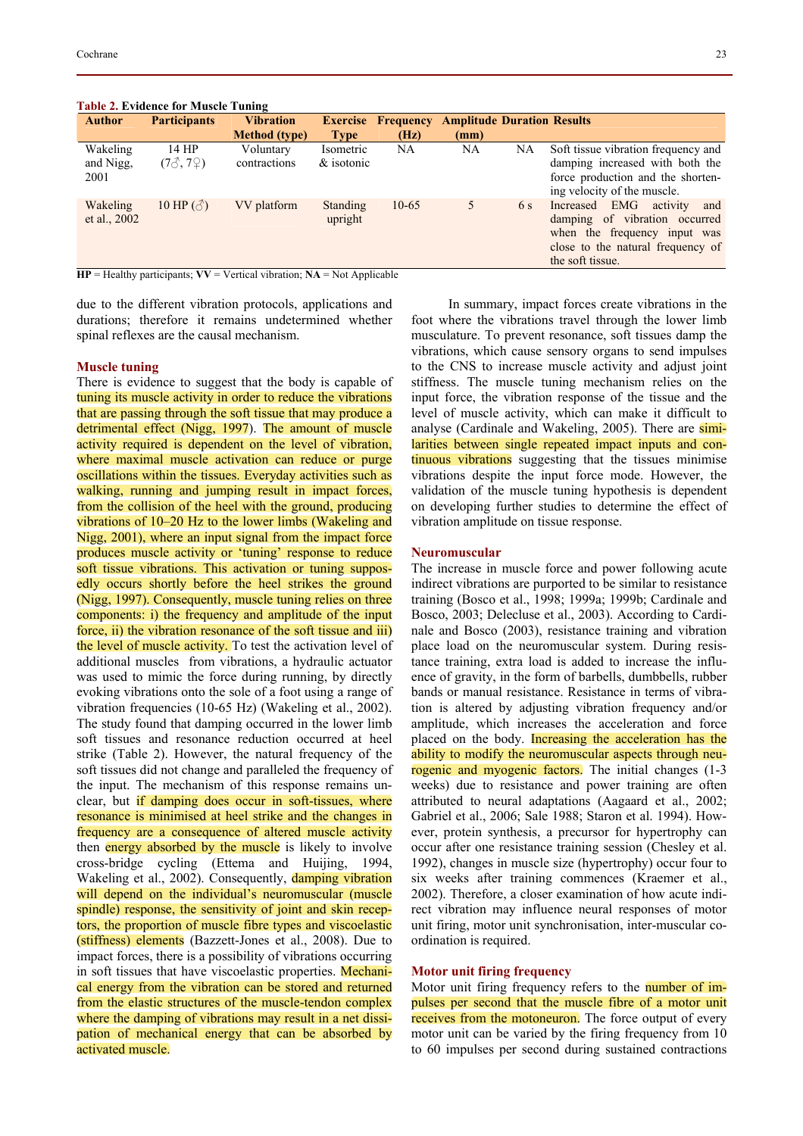|               | Table 2. Evidence for Muscle Tuning         |                      |                 |                           |                                   |     |                                     |
|---------------|---------------------------------------------|----------------------|-----------------|---------------------------|-----------------------------------|-----|-------------------------------------|
| <b>Author</b> | <b>Participants</b>                         | <b>Vibration</b>     |                 | <b>Exercise Frequency</b> | <b>Amplitude Duration Results</b> |     |                                     |
|               |                                             | <b>Method</b> (type) | <b>Type</b>     | (Hz)                      | (mm)                              |     |                                     |
| Wakeling      | 14 HP                                       | Voluntary            | Isometric       | NA                        | NA                                | NA  | Soft tissue vibration frequency and |
| and Nigg,     | $(7\text{J}, 7\text{J})$                    | contractions         | $\&$ isotonic   |                           |                                   |     | damping increased with both the     |
| 2001          |                                             |                      |                 |                           |                                   |     | force production and the shorten-   |
|               |                                             |                      |                 |                           |                                   |     | ing velocity of the muscle.         |
| Wakeling      | 10 HP $(\textcircled{\scriptsize{\wedge}})$ | VV platform          | <b>Standing</b> | $10-65$                   | 5                                 | 6 s | Increased EMG<br>and<br>activity    |
| et al., 2002  |                                             |                      | upright         |                           |                                   |     | damping of vibration occurred       |
|               |                                             |                      |                 |                           |                                   |     | when the frequency input was        |
|               |                                             |                      |                 |                           |                                   |     | close to the natural frequency of   |
|               |                                             |                      |                 |                           |                                   |     | the soft tissue.                    |

#### **Table 2. Evidence for Muscle Tuning**

 $HP =$  Healthy participants;  $VV =$  Vertical vibration;  $NA =$  Not Applicable

due to the different vibration protocols, applications and durations; therefore it remains undetermined whether spinal reflexes are the causal mechanism.

#### **Muscle tuning**

There is evidence to suggest that the body is capable of tuning its muscle activity in order to reduce the vibrations that are passing through the soft tissue that may produce a detrimental effect (Nigg, 1997). The amount of muscle activity required is dependent on the level of vibration, where maximal muscle activation can reduce or purge oscillations within the tissues. Everyday activities such as walking, running and jumping result in impact forces, from the collision of the heel with the ground, producing vibrations of 10–20 Hz to the lower limbs (Wakeling and Nigg, 2001), where an input signal from the impact force produces muscle activity or 'tuning' response to reduce soft tissue vibrations. This activation or tuning supposedly occurs shortly before the heel strikes the ground (Nigg, 1997). Consequently, muscle tuning relies on three components: i) the frequency and amplitude of the input force, ii) the vibration resonance of the soft tissue and iii) the level of muscle activity. To test the activation level of additional muscles from vibrations, a hydraulic actuator was used to mimic the force during running, by directly evoking vibrations onto the sole of a foot using a range of vibration frequencies (10-65 Hz) (Wakeling et al., 2002). The study found that damping occurred in the lower limb soft tissues and resonance reduction occurred at heel strike (Table 2). However, the natural frequency of the soft tissues did not change and paralleled the frequency of the input. The mechanism of this response remains unclear, but if damping does occur in soft-tissues, where resonance is minimised at heel strike and the changes in frequency are a consequence of altered muscle activity then energy absorbed by the muscle is likely to involve cross-bridge cycling (Ettema and Huijing, 1994, Wakeling et al., 2002). Consequently, damping vibration will depend on the individual's neuromuscular (muscle spindle) response, the sensitivity of joint and skin receptors, the proportion of muscle fibre types and viscoelastic (stiffness) elements (Bazzett-Jones et al., 2008). Due to impact forces, there is a possibility of vibrations occurring in soft tissues that have viscoelastic properties. Mechanical energy from the vibration can be stored and returned from the elastic structures of the muscle-tendon complex where the damping of vibrations may result in a net dissipation of mechanical energy that can be absorbed by activated muscle.

In summary, impact forces create vibrations in the foot where the vibrations travel through the lower limb musculature. To prevent resonance, soft tissues damp the vibrations, which cause sensory organs to send impulses to the CNS to increase muscle activity and adjust joint stiffness. The muscle tuning mechanism relies on the input force, the vibration response of the tissue and the level of muscle activity, which can make it difficult to analyse (Cardinale and Wakeling, 2005). There are similarities between single repeated impact inputs and continuous vibrations suggesting that the tissues minimise vibrations despite the input force mode. However, the validation of the muscle tuning hypothesis is dependent on developing further studies to determine the effect of vibration amplitude on tissue response.

### **Neuromuscular**

The increase in muscle force and power following acute indirect vibrations are purported to be similar to resistance training (Bosco et al., 1998; 1999a; 1999b; Cardinale and Bosco, 2003; Delecluse et al., 2003). According to Cardinale and Bosco (2003), resistance training and vibration place load on the neuromuscular system. During resistance training, extra load is added to increase the influence of gravity, in the form of barbells, dumbbells, rubber bands or manual resistance. Resistance in terms of vibration is altered by adjusting vibration frequency and/or amplitude, which increases the acceleration and force placed on the body. Increasing the acceleration has the ability to modify the neuromuscular aspects through neurogenic and myogenic factors. The initial changes (1-3) weeks) due to resistance and power training are often attributed to neural adaptations (Aagaard et al., 2002; Gabriel et al., 2006; Sale 1988; Staron et al. 1994). However, protein synthesis, a precursor for hypertrophy can occur after one resistance training session (Chesley et al. 1992), changes in muscle size (hypertrophy) occur four to six weeks after training commences (Kraemer et al., 2002). Therefore, a closer examination of how acute indirect vibration may influence neural responses of motor unit firing, motor unit synchronisation, inter-muscular coordination is required.

#### **Motor unit firing frequency**

Motor unit firing frequency refers to the **number of im**pulses per second that the muscle fibre of a motor unit receives from the motoneuron. The force output of every motor unit can be varied by the firing frequency from 10 to 60 impulses per second during sustained contractions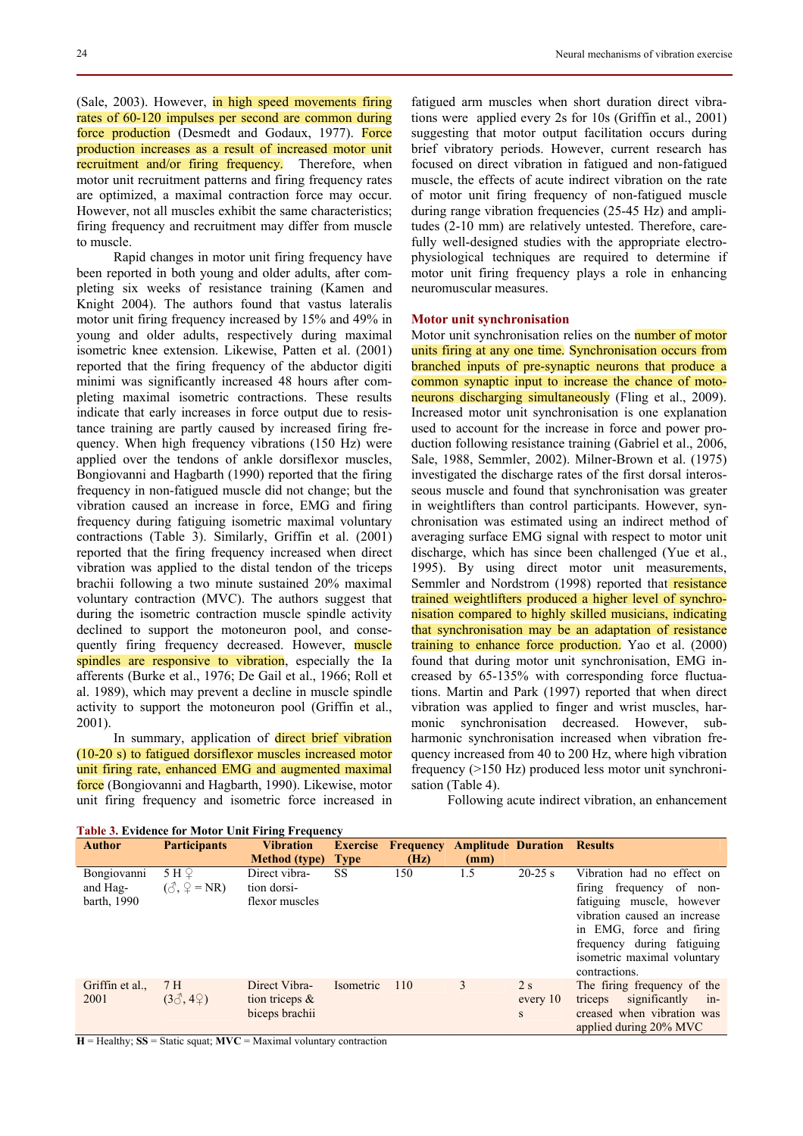(Sale, 2003). However, in high speed movements firing rates of 60-120 impulses per second are common during force production (Desmedt and Godaux, 1977). Force production increases as a result of increased motor unit recruitment and/or firing frequency. Therefore, when motor unit recruitment patterns and firing frequency rates are optimized, a maximal contraction force may occur. However, not all muscles exhibit the same characteristics; firing frequency and recruitment may differ from muscle to muscle.

Rapid changes in motor unit firing frequency have been reported in both young and older adults, after completing six weeks of resistance training (Kamen and Knight 2004). The authors found that vastus lateralis motor unit firing frequency increased by 15% and 49% in young and older adults, respectively during maximal isometric knee extension. Likewise, Patten et al. (2001) reported that the firing frequency of the abductor digiti minimi was significantly increased 48 hours after completing maximal isometric contractions. These results indicate that early increases in force output due to resistance training are partly caused by increased firing frequency. When high frequency vibrations (150 Hz) were applied over the tendons of ankle dorsiflexor muscles, Bongiovanni and Hagbarth (1990) reported that the firing frequency in non-fatigued muscle did not change; but the vibration caused an increase in force, EMG and firing frequency during fatiguing isometric maximal voluntary contractions (Table 3). Similarly, Griffin et al. (2001) reported that the firing frequency increased when direct vibration was applied to the distal tendon of the triceps brachii following a two minute sustained 20% maximal voluntary contraction (MVC). The authors suggest that during the isometric contraction muscle spindle activity declined to support the motoneuron pool, and consequently firing frequency decreased. However, muscle spindles are responsive to vibration, especially the Ia afferents (Burke et al., 1976; De Gail et al., 1966; Roll et al. 1989), which may prevent a decline in muscle spindle activity to support the motoneuron pool (Griffin et al., 2001).

In summary, application of direct brief vibration (10-20 s) to fatigued dorsiflexor muscles increased motor unit firing rate, enhanced EMG and augmented maximal force (Bongiovanni and Hagbarth, 1990). Likewise, motor unit firing frequency and isometric force increased in

fatigued arm muscles when short duration direct vibrations were applied every 2s for 10s (Griffin et al., 2001) suggesting that motor output facilitation occurs during brief vibratory periods. However, current research has focused on direct vibration in fatigued and non-fatigued muscle, the effects of acute indirect vibration on the rate of motor unit firing frequency of non-fatigued muscle during range vibration frequencies (25-45 Hz) and amplitudes (2-10 mm) are relatively untested. Therefore, carefully well-designed studies with the appropriate electrophysiological techniques are required to determine if motor unit firing frequency plays a role in enhancing neuromuscular measures.

## **Motor unit synchronisation**

Motor unit synchronisation relies on the **number of motor** units firing at any one time. Synchronisation occurs from branched inputs of pre-synaptic neurons that produce a common synaptic input to increase the chance of motoneurons discharging simultaneously (Fling et al., 2009). Increased motor unit synchronisation is one explanation used to account for the increase in force and power production following resistance training (Gabriel et al., 2006, Sale, 1988, Semmler, 2002). Milner-Brown et al. (1975) investigated the discharge rates of the first dorsal interosseous muscle and found that synchronisation was greater in weightlifters than control participants. However, synchronisation was estimated using an indirect method of averaging surface EMG signal with respect to motor unit discharge, which has since been challenged (Yue et al., 1995). By using direct motor unit measurements, Semmler and Nordstrom (1998) reported that resistance trained weightlifters produced a higher level of synchronisation compared to highly skilled musicians, indicating that synchronisation may be an adaptation of resistance training to enhance force production. Yao et al. (2000) found that during motor unit synchronisation, EMG increased by 65-135% with corresponding force fluctuations. Martin and Park (1997) reported that when direct vibration was applied to finger and wrist muscles, harmonic synchronisation decreased. However, subharmonic synchronisation increased when vibration frequency increased from 40 to 200 Hz, where high vibration frequency (>150 Hz) produced less motor unit synchronisation (Table 4).

Following acute indirect vibration, an enhancement

| <b>Author</b>                                 | <b>Participants</b>                             | <b>Vibration</b>                                     | <b>Exercise</b> | Frequency | <b>Amplitude Duration</b> |                     | <b>Results</b>                                                                                                                                                                                                                   |
|-----------------------------------------------|-------------------------------------------------|------------------------------------------------------|-----------------|-----------|---------------------------|---------------------|----------------------------------------------------------------------------------------------------------------------------------------------------------------------------------------------------------------------------------|
|                                               |                                                 | <b>Method</b> (type)                                 | <b>Type</b>     | (Hz)      | (mm)                      |                     |                                                                                                                                                                                                                                  |
| <b>Bongiovanni</b><br>and Hag-<br>barth, 1990 | 5H <sub>2</sub><br>$(\delta, \mathcal{Q} = NR)$ | Direct vibra-<br>tion dorsi-<br>flexor muscles       | SS              | 150       | 1.5                       | $20-25$ s           | Vibration had no effect on<br>firing frequency<br>of non-<br>fatiguing muscle, however<br>vibration caused an increase<br>in EMG, force and firing<br>frequency during fatiguing<br>isometric maximal voluntary<br>contractions. |
| Griffin et al.,<br>2001                       | 7 H<br>$(3\delta, 4\Omega)$                     | Direct Vibra-<br>tion triceps $\&$<br>biceps brachii | Isometric       | 110       | 3                         | 2s<br>every 10<br>S | The firing frequency of the<br>significantly<br>triceps<br>$1n-$<br>creased when vibration was<br>applied during 20% MVC                                                                                                         |

**Table 3. Evidence for Motor Unit Firing Frequency** 

 $H =$  Healthy;  $SS =$  Static squat;  $MVC =$  Maximal voluntary contraction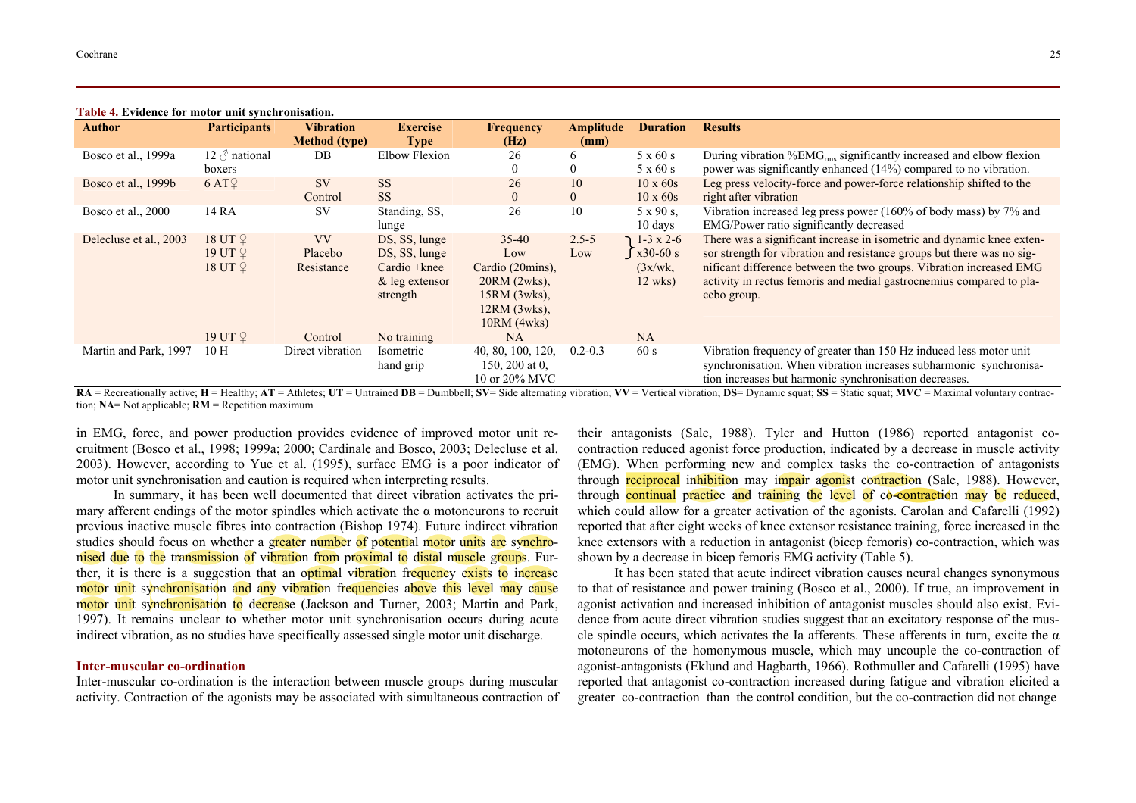| <b>Author</b>          | <b>Participants</b>  | <b>Vibration</b>     | <b>Exercise</b>      | <b>Frequency</b>  | Amplitude      | <b>Duration</b>         | <b>Results</b>                                                                 |
|------------------------|----------------------|----------------------|----------------------|-------------------|----------------|-------------------------|--------------------------------------------------------------------------------|
|                        |                      | <b>Method</b> (type) | Type                 | (Hz)              | (mm)           |                         |                                                                                |
| Bosco et al., 1999a    | 12 $\delta$ national | DB                   | <b>Elbow Flexion</b> | 26                | b.             | $5 \times 60 \text{ s}$ | During vibration %EMG <sub>rms</sub> significantly increased and elbow flexion |
|                        | boxers               |                      |                      |                   | 0              | $5 \times 60 s$         | power was significantly enhanced (14%) compared to no vibration.               |
| Bosco et al., 1999b    | 6 AT <sup>o</sup>    | <b>SV</b>            | <b>SS</b>            | 26                | 10             | $10 \times 60s$         | Leg press velocity-force and power-force relationship shifted to the           |
|                        |                      | Control              | <b>SS</b>            | $\overline{0}$    | $\overline{0}$ | $10 \times 60s$         | right after vibration                                                          |
| Bosco et al., 2000     | 14 RA                | <b>SV</b>            | Standing, SS,        | 26                | 10             | $5 \times 90$ s.        | Vibration increased leg press power (160% of body mass) by 7% and              |
|                        |                      |                      | lunge                |                   |                | 10 days                 | EMG/Power ratio significantly decreased                                        |
| Delecluse et al., 2003 | 18 UT <sup>2</sup>   | <b>VV</b>            | DS, SS, lunge        | $35-40$           | $2.5 - 5$      | $1-3 \times 2-6$        | There was a significant increase in isometric and dynamic knee exten-          |
|                        | 19 UT $\mathcal Q$   | Placebo              | DS, SS, lunge        | Low               | Low            | $\int x30-60 s$         | sor strength for vibration and resistance groups but there was no sig-         |
|                        | 18 UT <sup>2</sup>   | Resistance           | Cardio + knee        | Cardio (20mins),  |                | (3x/wk)                 | nificant difference between the two groups. Vibration increased EMG            |
|                        |                      |                      | $\&$ leg extensor    | $20RM$ (2wks).    |                | $12$ wks)               | activity in rectus femoris and medial gastrocnemius compared to pla-           |
|                        |                      |                      | strength             | $15RM$ (3wks),    |                |                         | cebo group.                                                                    |
|                        |                      |                      |                      | $12RM$ (3wks),    |                |                         |                                                                                |
|                        |                      |                      |                      | $10RM$ (4wks)     |                |                         |                                                                                |
|                        | 19 UT 2              | Control              | No training          | <b>NA</b>         |                | <b>NA</b>               |                                                                                |
| Martin and Park, 1997  | 10H                  | Direct vibration     | Isometric            | 40, 80, 100, 120, | $0.2 - 0.3$    | 60 s                    | Vibration frequency of greater than 150 Hz induced less motor unit             |
|                        |                      |                      | hand grip            | 150, 200 at 0.    |                |                         | synchronisation. When vibration increases subharmonic synchronisa-             |
|                        |                      |                      |                      | 10 or 20% MVC     |                |                         | tion increases but harmonic synchronisation decreases.                         |

#### **Table 4. Evidence for motor unit synchronisation.**

RA = Recreationally active; H = Healthy; AT = Athletes; UT = Untrained DB = Dumbbell; SV = Side alternating vibration; VV = Vertical vibration; DS = Dynamic squat; SS = Static squat; MVC = Maximal voluntary contraction; **NA**= Not applicable; **RM** = Repetition maximum

in EMG, force, and power production provides evidence of improved motor unit recruitment (Bosco et al., 1998; 1999a; 2000; Cardinale and Bosco, 2003; Delecluse et al. 2003). However, according to Yue et al. (1995), surface EMG is a poor indicator of motor unit synchronisation and caution is required when interpreting results.

In summary, it has been well documented that direct vibration activates the primary afferent endings of the motor spindles which activate the  $\alpha$  motoneurons to recruit previous inactive muscle fibres into contraction (Bishop 1974). Future indirect vibration studies should focus on whether a greater number of potential motor units are synchronised due to the transmission of vibration from proximal to distal muscle groups. Further, it is there is a suggestion that an optimal vibration frequency exists to increase motor unit synchronisation and any vibration frequencies above this level may cause motor unit synchronisation to decrease (Jackson and Turner, 2003; Martin and Park, 1997). It remains unclear to whether motor unit synchronisation occurs during acute indirect vibration, as no studies have specifically assessed single motor unit discharge.

### **Inter-muscular co-ordination**

Inter-muscular co-ordination is the interaction between muscle groups during muscular activity. Contraction of the agonists may be associated with simultaneous contraction of their antagonists (Sale, 1988). Tyler and Hutton (1986) reported antagonist cocontraction reduced agonist force production, indicated by a decrease in muscle activity (EMG). When performing new and complex tasks the co-contraction of antagonists through reciprocal inhibition may impair agonist contraction (Sale, 1988). However, through continual practice and training the level of co-contraction may be reduced, which could allow for a greater activation of the agonists. Carolan and Cafarelli (1992) reported that after eight weeks of knee extensor resistance training, force increased in the knee extensors with a reduction in antagonist (bicep femoris) co-contraction, which was shown by a decrease in bicep femoris EMG activity (Table 5).

It has been stated that acute indirect vibration causes neural changes synonymous to that of resistance and power training (Bosco et al., 2000). If true, an improvement in agonist activation and increased inhibition of antagonist muscles should also exist. Evidence from acute direct vibration studies suggest that an excitatory response of the muscle spindle occurs, which activates the Ia afferents. These afferents in turn, excite the  $\alpha$ motoneurons of the homonymous muscle, which may uncouple the co-contraction of agonist-antagonists (Eklund and Hagbarth, 1966). Rothmuller and Cafarelli (1995) have reported that antagonist co-contraction increased during fatigue and vibration elicited a greater co-contraction than the control condition, but the co-contraction did not change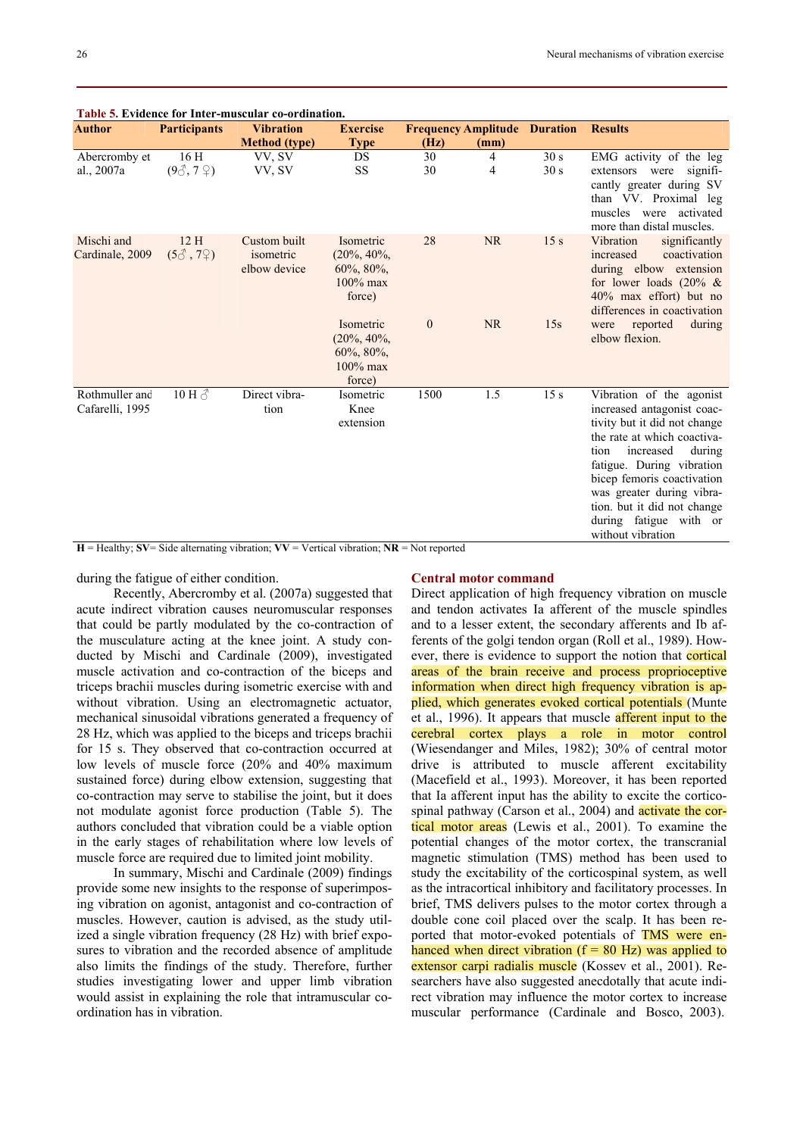| <b>Author</b>                     | <b>Participants</b>             | <b>Vibration</b>                          | <b>Exercise</b>                                                       |              | <b>Frequency Amplitude Duration</b> |                 | <b>Results</b>                                                                                                                                                                                                                                                                                                             |
|-----------------------------------|---------------------------------|-------------------------------------------|-----------------------------------------------------------------------|--------------|-------------------------------------|-----------------|----------------------------------------------------------------------------------------------------------------------------------------------------------------------------------------------------------------------------------------------------------------------------------------------------------------------------|
|                                   |                                 | <b>Method</b> (type)                      | <b>Type</b>                                                           | (Hz)         | (mm)                                |                 |                                                                                                                                                                                                                                                                                                                            |
| Abercromby et                     | 16H                             | VV, SV                                    | DS                                                                    | 30           | 4                                   | 30 s            | EMG activity of the leg                                                                                                                                                                                                                                                                                                    |
| al., 2007a                        | $(9\text{C}, 7\text{C})$        | VV, SV                                    | <b>SS</b>                                                             | 30           | 4                                   | 30 s            | signifi-<br>extensors<br>were<br>cantly greater during SV<br>than VV. Proximal leg<br>muscles were<br>activated<br>more than distal muscles.                                                                                                                                                                               |
| Mischi and<br>Cardinale, 2009     | 12H<br>$(5\text{C}, 7\text{C})$ | Custom built<br>isometric<br>elbow device | Isometric<br>$(20\%, 40\%,$<br>$60\%, 80\%,$<br>$100\%$ max<br>force) | 28           | <b>NR</b>                           | 15 <sub>s</sub> | Vibration<br>significantly<br>increased<br>coactivation<br>during elbow extension<br>for lower loads $(20\% \&$<br>40% max effort) but no<br>differences in coactivation                                                                                                                                                   |
|                                   |                                 |                                           | Isometric<br>$(20\%, 40\%,$<br>60%, 80%,<br>$100\%$ max<br>force)     | $\mathbf{0}$ | <b>NR</b>                           | 15s             | reported<br>during<br>were<br>elbow flexion.                                                                                                                                                                                                                                                                               |
| Rothmuller and<br>Cafarelli, 1995 | $10 H \, \text{O}$              | Direct vibra-<br>tion                     | Isometric<br>Knee<br>extension                                        | 1500         | 1.5                                 | 15 <sub>s</sub> | Vibration of the agonist<br>increased antagonist coac-<br>tivity but it did not change<br>the rate at which coactiva-<br>tion<br>increased<br>during<br>fatigue. During vibration<br>bicep femoris coactivation<br>was greater during vibra-<br>tion, but it did not change<br>during fatigue with or<br>without vibration |

# **Table 5. Evidence for Inter-muscular co-ordination.**

 $H =$  Healthy;  $SV =$  Side alternating vibration;  $VV =$  Vertical vibration;  $NR =$  Not reported

during the fatigue of either condition.

## **Central motor command**

Recently, Abercromby et al. (2007a) suggested that acute indirect vibration causes neuromuscular responses that could be partly modulated by the co-contraction of the musculature acting at the knee joint. A study conducted by Mischi and Cardinale (2009), investigated muscle activation and co-contraction of the biceps and triceps brachii muscles during isometric exercise with and without vibration. Using an electromagnetic actuator, mechanical sinusoidal vibrations generated a frequency of 28 Hz, which was applied to the biceps and triceps brachii for 15 s. They observed that co-contraction occurred at low levels of muscle force (20% and 40% maximum sustained force) during elbow extension, suggesting that co-contraction may serve to stabilise the joint, but it does not modulate agonist force production (Table 5). The authors concluded that vibration could be a viable option in the early stages of rehabilitation where low levels of muscle force are required due to limited joint mobility.

In summary, Mischi and Cardinale (2009) findings provide some new insights to the response of superimposing vibration on agonist, antagonist and co-contraction of muscles. However, caution is advised, as the study utilized a single vibration frequency (28 Hz) with brief exposures to vibration and the recorded absence of amplitude also limits the findings of the study. Therefore, further studies investigating lower and upper limb vibration would assist in explaining the role that intramuscular coordination has in vibration.

Direct application of high frequency vibration on muscle and tendon activates Ia afferent of the muscle spindles and to a lesser extent, the secondary afferents and Ib afferents of the golgi tendon organ (Roll et al., 1989). However, there is evidence to support the notion that cortical areas of the brain receive and process proprioceptive information when direct high frequency vibration is applied, which generates evoked cortical potentials (Munte et al., 1996). It appears that muscle afferent input to the cerebral cortex plays a role in motor control (Wiesendanger and Miles, 1982); 30% of central motor drive is attributed to muscle afferent excitability (Macefield et al., 1993). Moreover, it has been reported that Ia afferent input has the ability to excite the corticospinal pathway (Carson et al., 2004) and **activate the cor**tical motor areas (Lewis et al., 2001). To examine the potential changes of the motor cortex, the transcranial magnetic stimulation (TMS) method has been used to study the excitability of the corticospinal system, as well as the intracortical inhibitory and facilitatory processes. In brief, TMS delivers pulses to the motor cortex through a double cone coil placed over the scalp. It has been reported that motor-evoked potentials of TMS were enhanced when direct vibration  $(f = 80 \text{ Hz})$  was applied to extensor carpi radialis muscle (Kossev et al., 2001). Researchers have also suggested anecdotally that acute indirect vibration may influence the motor cortex to increase muscular performance (Cardinale and Bosco, 2003).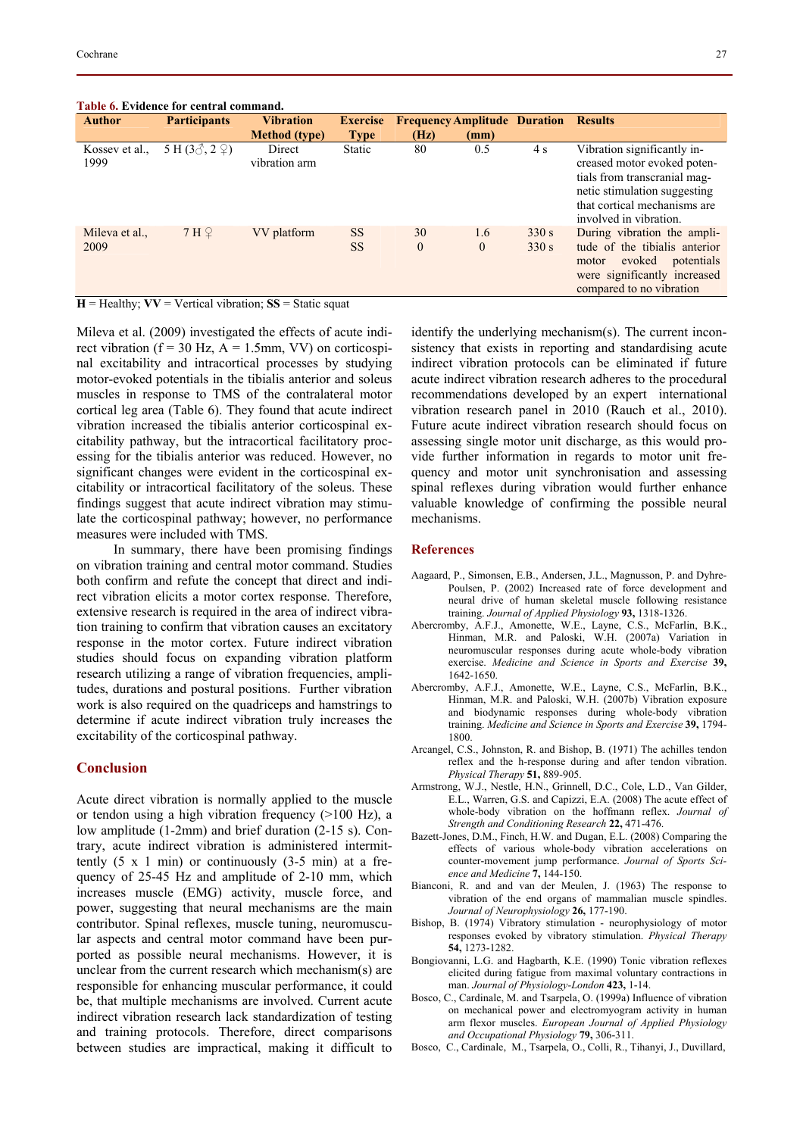| rable 6. Evidence for central command. |                                                               |                         |                        |                |                                     |                |                                                                                                                                                                                      |  |  |  |
|----------------------------------------|---------------------------------------------------------------|-------------------------|------------------------|----------------|-------------------------------------|----------------|--------------------------------------------------------------------------------------------------------------------------------------------------------------------------------------|--|--|--|
| <b>Author</b>                          | <b>Participants</b>                                           | <b>Vibration</b>        | <b>Exercise</b>        |                | <b>Frequency Amplitude Duration</b> |                | <b>Results</b>                                                                                                                                                                       |  |  |  |
|                                        |                                                               | <b>Method (type)</b>    | <b>Type</b>            | (Hz)           | (mm)                                |                |                                                                                                                                                                                      |  |  |  |
| Kossev et al.,<br>1999                 | 5 H $(3\text{A}, 2\text{C})$                                  | Direct<br>vibration arm | <b>Static</b>          | 80             | 0.5                                 | 4 s            | Vibration significantly in-<br>creased motor evoked poten-<br>tials from transcranial mag-<br>netic stimulation suggesting<br>that cortical mechanisms are<br>involved in vibration. |  |  |  |
| Mileva et al.,<br>2009                 | 7H <sub>2</sub>                                               | VV platform             | <b>SS</b><br><b>SS</b> | 30<br>$\theta$ | 1.6<br>$\theta$                     | 330 s<br>330 s | During vibration the ampli-<br>tude of the tibialis anterior<br>evoked<br>potentials<br>motor<br>were significantly increased<br>compared to no vibration                            |  |  |  |
|                                        | $H =$ Healthy: $VV =$ Vertical vibration: $SS =$ Static squat |                         |                        |                |                                     |                |                                                                                                                                                                                      |  |  |  |

# **Table 6. Evidence for central command.**

Mileva et al. (2009) investigated the effects of acute indirect vibration ( $f = 30$  Hz,  $A = 1.5$ mm, VV) on corticospinal excitability and intracortical processes by studying motor-evoked potentials in the tibialis anterior and soleus muscles in response to TMS of the contralateral motor cortical leg area (Table 6). They found that acute indirect vibration increased the tibialis anterior corticospinal excitability pathway, but the intracortical facilitatory processing for the tibialis anterior was reduced. However, no significant changes were evident in the corticospinal excitability or intracortical facilitatory of the soleus. These findings suggest that acute indirect vibration may stimulate the corticospinal pathway; however, no performance measures were included with TMS.

In summary, there have been promising findings on vibration training and central motor command. Studies both confirm and refute the concept that direct and indirect vibration elicits a motor cortex response. Therefore, extensive research is required in the area of indirect vibration training to confirm that vibration causes an excitatory response in the motor cortex. Future indirect vibration studies should focus on expanding vibration platform research utilizing a range of vibration frequencies, amplitudes, durations and postural positions. Further vibration work is also required on the quadriceps and hamstrings to determine if acute indirect vibration truly increases the excitability of the corticospinal pathway.

## **Conclusion**

Acute direct vibration is normally applied to the muscle or tendon using a high vibration frequency (>100 Hz), a low amplitude (1-2mm) and brief duration (2-15 s). Contrary, acute indirect vibration is administered intermittently  $(5 \times 1 \text{ min})$  or continuously  $(3-5 \text{ min})$  at a frequency of 25-45 Hz and amplitude of 2-10 mm, which increases muscle (EMG) activity, muscle force, and power, suggesting that neural mechanisms are the main contributor. Spinal reflexes, muscle tuning, neuromuscular aspects and central motor command have been purported as possible neural mechanisms. However, it is unclear from the current research which mechanism(s) are responsible for enhancing muscular performance, it could be, that multiple mechanisms are involved. Current acute indirect vibration research lack standardization of testing and training protocols. Therefore, direct comparisons between studies are impractical, making it difficult to identify the underlying mechanism(s). The current inconsistency that exists in reporting and standardising acute indirect vibration protocols can be eliminated if future acute indirect vibration research adheres to the procedural recommendations developed by an expert international vibration research panel in 2010 (Rauch et al., 2010). Future acute indirect vibration research should focus on assessing single motor unit discharge, as this would provide further information in regards to motor unit frequency and motor unit synchronisation and assessing spinal reflexes during vibration would further enhance valuable knowledge of confirming the possible neural mechanisms.

### **References**

- Aagaard, P., Simonsen, E.B., Andersen, J.L., Magnusson, P. and Dyhre-Poulsen, P. (2002) Increased rate of force development and neural drive of human skeletal muscle following resistance training. *Journal of Applied Physiology* **93,** 1318-1326.
- Abercromby, A.F.J., Amonette, W.E., Layne, C.S., McFarlin, B.K., Hinman, M.R. and Paloski, W.H. (2007a) Variation in neuromuscular responses during acute whole-body vibration exercise. *Medicine and Science in Sports and Exercise* **39,** 1642-1650.
- Abercromby, A.F.J., Amonette, W.E., Layne, C.S., McFarlin, B.K., Hinman, M.R. and Paloski, W.H. (2007b) Vibration exposure and biodynamic responses during whole-body vibration training. *Medicine and Science in Sports and Exercise* **39,** 1794- 1800.
- Arcangel, C.S., Johnston, R. and Bishop, B. (1971) The achilles tendon reflex and the h-response during and after tendon vibration. *Physical Therapy* **51,** 889-905.
- Armstrong, W.J., Nestle, H.N., Grinnell, D.C., Cole, L.D., Van Gilder, E.L., Warren, G.S. and Capizzi, E.A. (2008) The acute effect of whole-body vibration on the hoffmann reflex. *Journal of Strength and Conditioning Research* **22,** 471-476.
- Bazett-Jones, D.M., Finch, H.W. and Dugan, E.L. (2008) Comparing the effects of various whole-body vibration accelerations on counter-movement jump performance. *Journal of Sports Science and Medicine* **7,** 144-150.
- Bianconi, R. and and van der Meulen, J. (1963) The response to vibration of the end organs of mammalian muscle spindles. *Journal of Neurophysiology* **26,** 177-190.
- Bishop, B. (1974) Vibratory stimulation neurophysiology of motor responses evoked by vibratory stimulation. *Physical Therapy* **54,** 1273-1282.
- Bongiovanni, L.G. and Hagbarth, K.E. (1990) Tonic vibration reflexes elicited during fatigue from maximal voluntary contractions in man. *Journal of Physiology-London* **423,** 1-14.
- Bosco, C., Cardinale, M. and Tsarpela, O. (1999a) Influence of vibration on mechanical power and electromyogram activity in human arm flexor muscles. *European Journal of Applied Physiology and Occupational Physiology* **79,** 306-311.
- Bosco, C., Cardinale, M., Tsarpela, O., Colli, R., Tihanyi, J., Duvillard,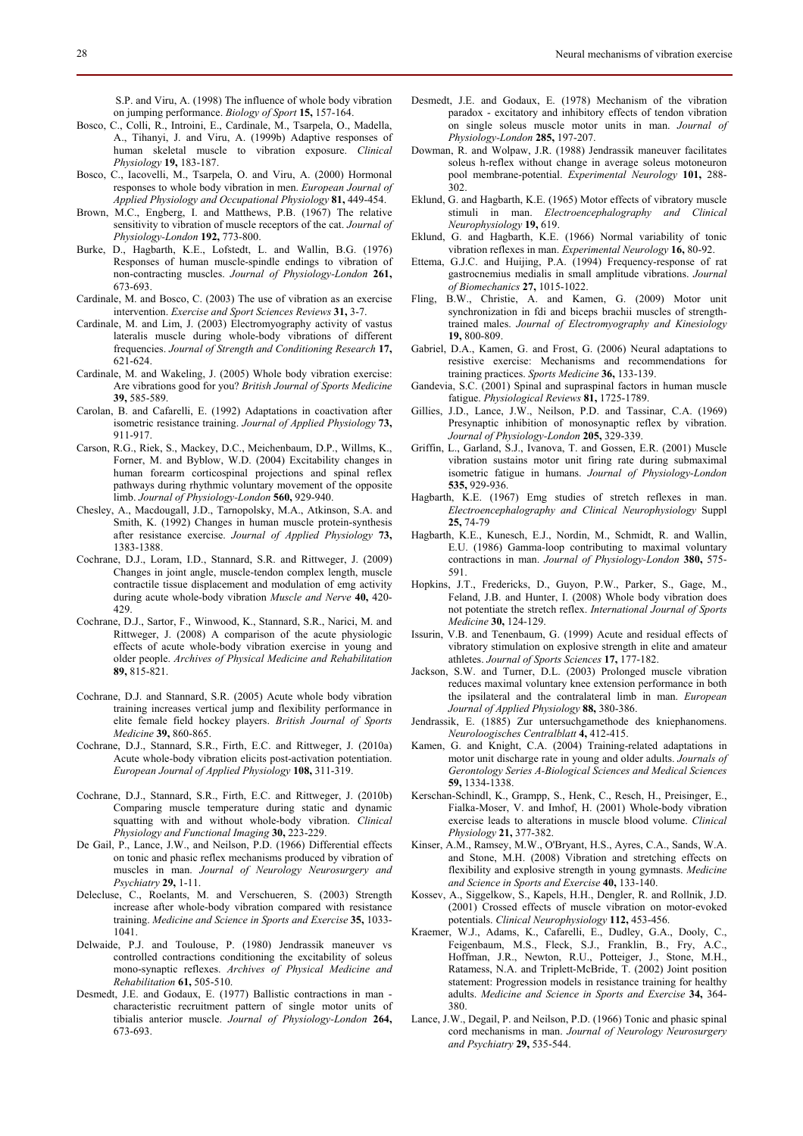S.P. and Viru, A. (1998) The influence of whole body vibration on jumping performance. *Biology of Sport* **15,** 157-164.

- Bosco, C., Colli, R., Introini, E., Cardinale, M., Tsarpela, O., Madella, A., Tihanyi, J. and Viru, A. (1999b) Adaptive responses of human skeletal muscle to vibration exposure. *Clinical Physiology* **19,** 183-187.
- Bosco, C., Iacovelli, M., Tsarpela, O. and Viru, A. (2000) Hormonal responses to whole body vibration in men. *European Journal of Applied Physiology and Occupational Physiology* **81,** 449-454.
- Brown, M.C., Engberg, I. and Matthews, P.B. (1967) The relative sensitivity to vibration of muscle receptors of the cat. *Journal of Physiology-London* **192,** 773-800.
- Burke, D., Hagbarth, K.E., Lofstedt, L. and Wallin, B.G. (1976) Responses of human muscle-spindle endings to vibration of non-contracting muscles. *Journal of Physiology-London* **261,** 673-693.
- Cardinale, M. and Bosco, C. (2003) The use of vibration as an exercise intervention. *Exercise and Sport Sciences Reviews* **31,** 3-7.
- Cardinale, M. and Lim, J. (2003) Electromyography activity of vastus lateralis muscle during whole-body vibrations of different frequencies. *Journal of Strength and Conditioning Research* **17,** 621-624.
- Cardinale, M. and Wakeling, J. (2005) Whole body vibration exercise: Are vibrations good for you? *British Journal of Sports Medicine* **39,** 585-589.
- Carolan, B. and Cafarelli, E. (1992) Adaptations in coactivation after isometric resistance training. *Journal of Applied Physiology* **73,** 911-917.
- Carson, R.G., Riek, S., Mackey, D.C., Meichenbaum, D.P., Willms, K., Forner, M. and Byblow, W.D. (2004) Excitability changes in human forearm corticospinal projections and spinal reflex pathways during rhythmic voluntary movement of the opposite limb. *Journal of Physiology-London* **560,** 929-940.
- Chesley, A., Macdougall, J.D., Tarnopolsky, M.A., Atkinson, S.A. and Smith, K. (1992) Changes in human muscle protein-synthesis after resistance exercise. *Journal of Applied Physiology* **73,** 1383-1388.
- Cochrane, D.J., Loram, I.D., Stannard, S.R. and Rittweger, J. (2009) Changes in joint angle, muscle-tendon complex length, muscle contractile tissue displacement and modulation of emg activity during acute whole-body vibration *Muscle and Nerve* **40,** 420- 429.
- Cochrane, D.J., Sartor, F., Winwood, K., Stannard, S.R., Narici, M. and Rittweger, J. (2008) A comparison of the acute physiologic effects of acute whole-body vibration exercise in young and older people. *Archives of Physical Medicine and Rehabilitation* **89,** 815-821.
- Cochrane, D.J. and Stannard, S.R. (2005) Acute whole body vibration training increases vertical jump and flexibility performance in elite female field hockey players. *British Journal of Sports Medicine* **39,** 860-865.
- Cochrane, D.J., Stannard, S.R., Firth, E.C. and Rittweger, J. (2010a) Acute whole-body vibration elicits post-activation potentiation. *European Journal of Applied Physiology* **108,** 311-319.
- Cochrane, D.J., Stannard, S.R., Firth, E.C. and Rittweger, J. (2010b) Comparing muscle temperature during static and dynamic squatting with and without whole-body vibration. *Clinical Physiology and Functional Imaging* **30,** 223-229.
- De Gail, P., Lance, J.W., and Neilson, P.D. (1966) Differential effects on tonic and phasic reflex mechanisms produced by vibration of muscles in man. *Journal of Neurology Neurosurgery and Psychiatry* **29,** 1-11.
- Delecluse, C., Roelants, M. and Verschueren, S. (2003) Strength increase after whole-body vibration compared with resistance training. *Medicine and Science in Sports and Exercise* **35,** 1033- 1041.
- Delwaide, P.J. and Toulouse, P. (1980) Jendrassik maneuver vs controlled contractions conditioning the excitability of soleus mono-synaptic reflexes. *Archives of Physical Medicine and Rehabilitation* **61,** 505-510.
- Desmedt, J.E. and Godaux, E. (1977) Ballistic contractions in man characteristic recruitment pattern of single motor units of tibialis anterior muscle. *Journal of Physiology-London* **264,**  673-693.
- Desmedt, J.E. and Godaux, E. (1978) Mechanism of the vibration paradox - excitatory and inhibitory effects of tendon vibration on single soleus muscle motor units in man. *Journal of Physiology-London* **285,** 197-207.
- Dowman, R. and Wolpaw, J.R. (1988) Jendrassik maneuver facilitates soleus h-reflex without change in average soleus motoneuron pool membrane-potential. *Experimental Neurology* **101,** 288- 302.
- Eklund, G. and Hagbarth, K.E. (1965) Motor effects of vibratory muscle stimuli in man. *Electroencephalography and Clinical Neurophysiology* **19,** 619.
- Eklund, G. and Hagbarth, K.E. (1966) Normal variability of tonic vibration reflexes in man. *Experimental Neurology* **16,** 80-92.
- Ettema, G.J.C. and Huijing, P.A. (1994) Frequency-response of rat gastrocnemius medialis in small amplitude vibrations. *Journal of Biomechanics* **27,** 1015-1022.
- Fling, B.W., Christie, A. and Kamen, G. (2009) Motor unit synchronization in fdi and biceps brachii muscles of strengthtrained males. *Journal of Electromyography and Kinesiology* **19,** 800-809.
- Gabriel, D.A., Kamen, G. and Frost, G. (2006) Neural adaptations to resistive exercise: Mechanisms and recommendations for training practices. *Sports Medicine* **36,** 133-139.
- Gandevia, S.C. (2001) Spinal and supraspinal factors in human muscle fatigue. *Physiological Reviews* **81,** 1725-1789.
- Gillies, J.D., Lance, J.W., Neilson, P.D. and Tassinar, C.A. (1969) Presynaptic inhibition of monosynaptic reflex by vibration. *Journal of Physiology-London* **205,** 329-339.
- Griffin, L., Garland, S.J., Ivanova, T. and Gossen, E.R. (2001) Muscle vibration sustains motor unit firing rate during submaximal isometric fatigue in humans. *Journal of Physiology-London* **535,** 929-936.
- Hagbarth, K.E. (1967) Emg studies of stretch reflexes in man. *Electroencephalography and Clinical Neurophysiology* Suppl **25,** 74-79
- Hagbarth, K.E., Kunesch, E.J., Nordin, M., Schmidt, R. and Wallin, E.U. (1986) Gamma-loop contributing to maximal voluntary contractions in man. *Journal of Physiology-London* **380,** 575- 591.
- Hopkins, J.T., Fredericks, D., Guyon, P.W., Parker, S., Gage, M., Feland, J.B. and Hunter, I. (2008) Whole body vibration does not potentiate the stretch reflex. *International Journal of Sports Medicine* **30,** 124-129.
- Issurin, V.B. and Tenenbaum, G. (1999) Acute and residual effects of vibratory stimulation on explosive strength in elite and amateur athletes. *Journal of Sports Sciences* **17,** 177-182.
- Jackson, S.W. and Turner, D.L. (2003) Prolonged muscle vibration reduces maximal voluntary knee extension performance in both the ipsilateral and the contralateral limb in man. *European Journal of Applied Physiology* **88,** 380-386.
- Jendrassik, E. (1885) Zur untersuchgamethode des kniephanomens. *Neuroloogisches Centralblatt* **4,** 412-415.
- Kamen, G. and Knight, C.A. (2004) Training-related adaptations in motor unit discharge rate in young and older adults. *Journals of Gerontology Series A-Biological Sciences and Medical Sciences* **59,** 1334-1338.
- Kerschan-Schindl, K., Grampp, S., Henk, C., Resch, H., Preisinger, E., Fialka-Moser, V. and Imhof, H. (2001) Whole-body vibration exercise leads to alterations in muscle blood volume. *Clinical Physiology* **21,** 377-382.
- Kinser, A.M., Ramsey, M.W., O'Bryant, H.S., Ayres, C.A., Sands, W.A. and Stone, M.H. (2008) Vibration and stretching effects on flexibility and explosive strength in young gymnasts. *Medicine and Science in Sports and Exercise* **40,** 133-140.
- Kossev, A., Siggelkow, S., Kapels, H.H., Dengler, R. and Rollnik, J.D. (2001) Crossed effects of muscle vibration on motor-evoked potentials. *Clinical Neurophysiology* **112,** 453-456.
- Kraemer, W.J., Adams, K., Cafarelli, E., Dudley, G.A., Dooly, C., Feigenbaum, M.S., Fleck, S.J., Franklin, B., Fry, A.C., Hoffman, J.R., Newton, R.U., Potteiger, J., Stone, M.H., Ratamess, N.A. and Triplett-McBride, T. (2002) Joint position statement: Progression models in resistance training for healthy adults. *Medicine and Science in Sports and Exercise* **34,** 364- 380.
- Lance, J.W., Degail, P. and Neilson, P.D. (1966) Tonic and phasic spinal cord mechanisms in man. *Journal of Neurology Neurosurgery and Psychiatry* **29,** 535-544.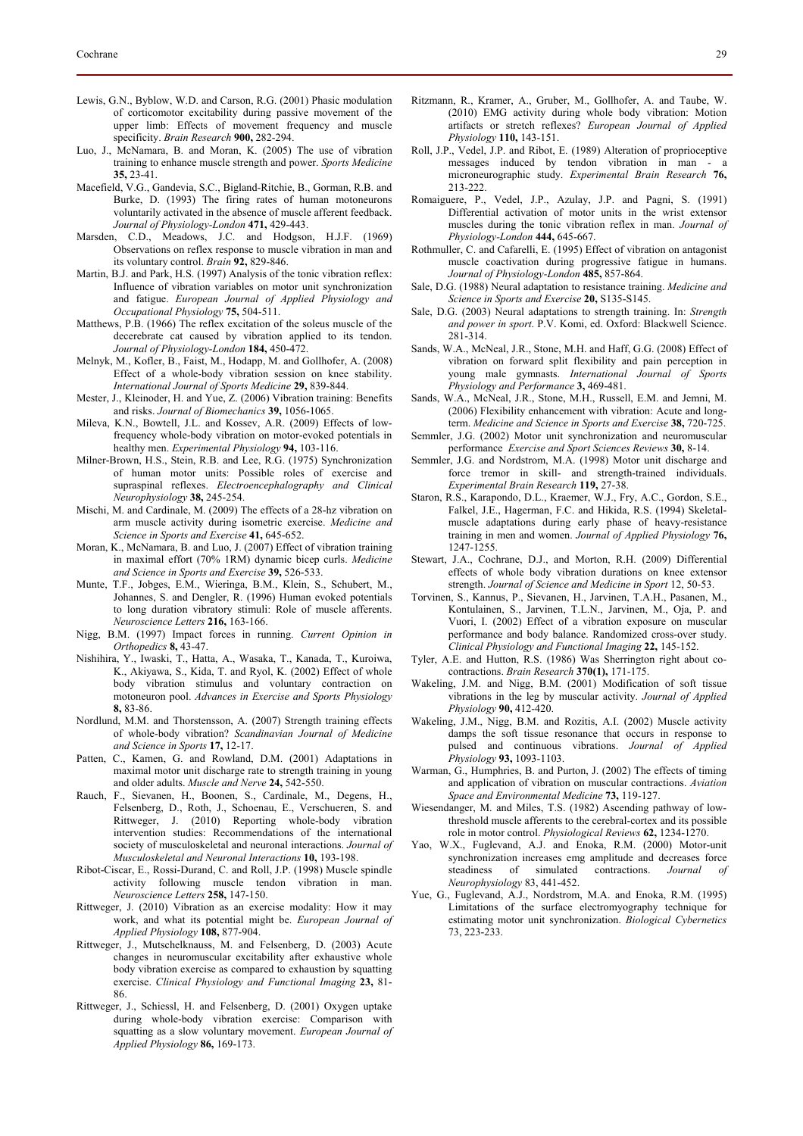- Lewis, G.N., Byblow, W.D. and Carson, R.G. (2001) Phasic modulation of corticomotor excitability during passive movement of the upper limb: Effects of movement frequency and muscle specificity. *Brain Research* **900,** 282-294.
- Luo, J., McNamara, B. and Moran, K. (2005) The use of vibration training to enhance muscle strength and power. *Sports Medicine* **35,** 23-41.
- Macefield, V.G., Gandevia, S.C., Bigland-Ritchie, B., Gorman, R.B. and Burke, D. (1993) The firing rates of human motoneurons voluntarily activated in the absence of muscle afferent feedback. *Journal of Physiology-London* **471,** 429-443.
- Marsden, C.D., Meadows, J.C. and Hodgson, H.J.F. (1969) Observations on reflex response to muscle vibration in man and its voluntary control. *Brain* **92,** 829-846.
- Martin, B.J. and Park, H.S. (1997) Analysis of the tonic vibration reflex: Influence of vibration variables on motor unit synchronization and fatigue. *European Journal of Applied Physiology and Occupational Physiology* **75,** 504-511.
- Matthews, P.B. (1966) The reflex excitation of the soleus muscle of the decerebrate cat caused by vibration applied to its tendon. *Journal of Physiology-London* **184,** 450-472.
- Melnyk, M., Kofler, B., Faist, M., Hodapp, M. and Gollhofer, A. (2008) Effect of a whole-body vibration session on knee stability. *International Journal of Sports Medicine* **29,** 839-844.
- Mester, J., Kleinoder, H. and Yue, Z. (2006) Vibration training: Benefits and risks. *Journal of Biomechanics* **39,** 1056-1065.
- Mileva, K.N., Bowtell, J.L. and Kossev, A.R. (2009) Effects of lowfrequency whole-body vibration on motor-evoked potentials in healthy men. *Experimental Physiology* **94,** 103-116.
- Milner-Brown, H.S., Stein, R.B. and Lee, R.G. (1975) Synchronization of human motor units: Possible roles of exercise and supraspinal reflexes. *Electroencephalography and Clinical Neurophysiology* **38,** 245-254.
- Mischi, M. and Cardinale, M. (2009) The effects of a 28-hz vibration on arm muscle activity during isometric exercise. *Medicine and Science in Sports and Exercise* **41,** 645-652.
- Moran, K., McNamara, B. and Luo, J. (2007) Effect of vibration training in maximal effort (70% 1RM) dynamic bicep curls. *Medicine and Science in Sports and Exercise* **39,** 526-533.
- Munte, T.F., Jobges, E.M., Wieringa, B.M., Klein, S., Schubert, M., Johannes, S. and Dengler, R. (1996) Human evoked potentials to long duration vibratory stimuli: Role of muscle afferents. *Neuroscience Letters* **216,** 163-166.
- Nigg, B.M. (1997) Impact forces in running. *Current Opinion in Orthopedics* **8,** 43-47.
- Nishihira, Y., Iwaski, T., Hatta, A., Wasaka, T., Kanada, T., Kuroiwa, K., Akiyawa, S., Kida, T. and Ryol, K. (2002) Effect of whole body vibration stimulus and voluntary contraction on motoneuron pool. *Advances in Exercise and Sports Physiology* **8,** 83-86.
- Nordlund, M.M. and Thorstensson, A. (2007) Strength training effects of whole-body vibration? *Scandinavian Journal of Medicine and Science in Sports* **17,** 12-17.
- Patten, C., Kamen, G. and Rowland, D.M. (2001) Adaptations in maximal motor unit discharge rate to strength training in young and older adults. *Muscle and Nerve* **24,** 542-550.
- Rauch, F., Sievanen, H., Boonen, S., Cardinale, M., Degens, H., Felsenberg, D., Roth, J., Schoenau, E., Verschueren, S. and Rittweger, J. (2010) Reporting whole-body vibration intervention studies: Recommendations of the international society of musculoskeletal and neuronal interactions. *Journal of Musculoskeletal and Neuronal Interactions* **10,** 193-198.
- Ribot-Ciscar, E., Rossi-Durand, C. and Roll, J.P. (1998) Muscle spindle activity following muscle tendon vibration in man. *Neuroscience Letters* **258,** 147-150.
- Rittweger, J. (2010) Vibration as an exercise modality: How it may work, and what its potential might be. *European Journal of Applied Physiology* **108,** 877-904.
- Rittweger, J., Mutschelknauss, M. and Felsenberg, D. (2003) Acute changes in neuromuscular excitability after exhaustive whole body vibration exercise as compared to exhaustion by squatting exercise. *Clinical Physiology and Functional Imaging* **23,** 81- 86.
- Rittweger, J., Schiessl, H. and Felsenberg, D. (2001) Oxygen uptake during whole-body vibration exercise: Comparison with squatting as a slow voluntary movement. *European Journal of Applied Physiology* **86,** 169-173.
- Ritzmann, R., Kramer, A., Gruber, M., Gollhofer, A. and Taube, W. (2010) EMG activity during whole body vibration: Motion artifacts or stretch reflexes? *European Journal of Applied Physiology* **110,** 143-151.
- Roll, J.P., Vedel, J.P. and Ribot, E. (1989) Alteration of proprioceptive messages induced by tendon vibration in man microneurographic study. *Experimental Brain Research* **76,** 213-222.
- Romaiguere, P., Vedel, J.P., Azulay, J.P. and Pagni, S. (1991) Differential activation of motor units in the wrist extensor muscles during the tonic vibration reflex in man. *Journal of Physiology-London* **444,** 645-667.
- Rothmuller, C. and Cafarelli, E. (1995) Effect of vibration on antagonist muscle coactivation during progressive fatigue in humans. *Journal of Physiology-London* **485,** 857-864.
- Sale, D.G. (1988) Neural adaptation to resistance training. *Medicine and Science in Sports and Exercise* **20,** S135-S145.
- Sale, D.G. (2003) Neural adaptations to strength training. In: *Strength and power in sport*. P.V. Komi, ed. Oxford: Blackwell Science. 281-314.
- Sands, W.A., McNeal, J.R., Stone, M.H. and Haff, G.G. (2008) Effect of vibration on forward split flexibility and pain perception in young male gymnasts. *International Journal of Sports Physiology and Performance* **3,** 469-481.
- Sands, W.A., McNeal, J.R., Stone, M.H., Russell, E.M. and Jemni, M. (2006) Flexibility enhancement with vibration: Acute and longterm. *Medicine and Science in Sports and Exercise* **38,** 720-725.
- Semmler, J.G. (2002) Motor unit synchronization and neuromuscular performance *Exercise and Sport Sciences Reviews* **30,** 8-14.
- Semmler, J.G. and Nordstrom, M.A. (1998) Motor unit discharge and force tremor in skill- and strength-trained individuals. *Experimental Brain Research* **119,** 27-38.
- Staron, R.S., Karapondo, D.L., Kraemer, W.J., Fry, A.C., Gordon, S.E., Falkel, J.E., Hagerman, F.C. and Hikida, R.S. (1994) Skeletalmuscle adaptations during early phase of heavy-resistance training in men and women. *Journal of Applied Physiology* **76,** 1247-1255.
- Stewart, J.A., Cochrane, D.J., and Morton, R.H. (2009) Differential effects of whole body vibration durations on knee extensor strength. *Journal of Science and Medicine in Sport* 12, 50-53.
- Torvinen, S., Kannus, P., Sievanen, H., Jarvinen, T.A.H., Pasanen, M., Kontulainen, S., Jarvinen, T.L.N., Jarvinen, M., Oja, P. and Vuori, I. (2002) Effect of a vibration exposure on muscular performance and body balance. Randomized cross-over study. *Clinical Physiology and Functional Imaging* **22,** 145-152.
- Tyler, A.E. and Hutton, R.S. (1986) Was Sherrington right about cocontractions. *Brain Research* **370(1),** 171-175.
- Wakeling, J.M. and Nigg, B.M. (2001) Modification of soft tissue vibrations in the leg by muscular activity. *Journal of Applied Physiology* **90,** 412-420.
- Wakeling, J.M., Nigg, B.M. and Rozitis, A.I. (2002) Muscle activity damps the soft tissue resonance that occurs in response to pulsed and continuous vibrations. *Journal of Applied Physiology* **93,** 1093-1103.
- Warman, G., Humphries, B. and Purton, J. (2002) The effects of timing and application of vibration on muscular contractions. *Aviation Space and Environmental Medicine* **73,** 119-127.
- Wiesendanger, M. and Miles, T.S. (1982) Ascending pathway of lowthreshold muscle afferents to the cerebral-cortex and its possible role in motor control. *Physiological Reviews* **62,** 1234-1270.
- Yao, W.X., Fuglevand, A.J. and Enoka, R.M. (2000) Motor-unit synchronization increases emg amplitude and decreases force steadiness of simulated contractions. *Journal Neurophysiology* 83, 441-452.
- Yue, G., Fuglevand, A.J., Nordstrom, M.A. and Enoka, R.M. (1995) Limitations of the surface electromyography technique for estimating motor unit synchronization. *Biological Cybernetics* 73, 223-233.